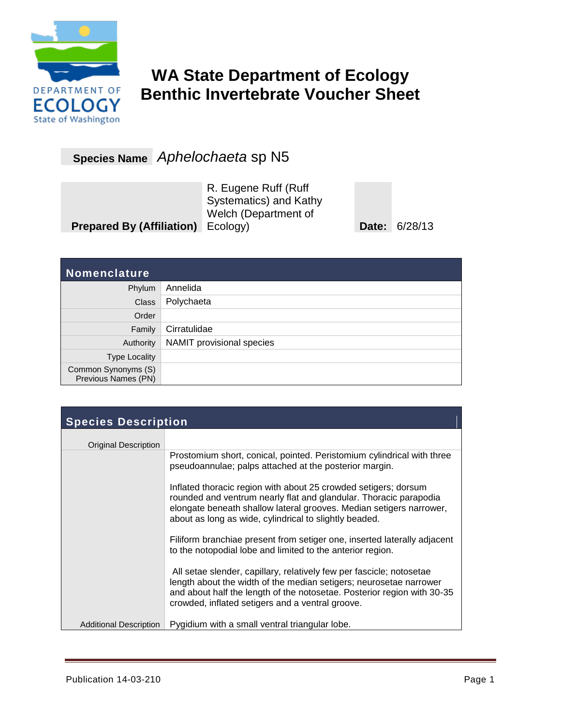

## **WA State Department of Ecology Benthic Invertebrate Voucher Sheet**

**Species Name** *Aphelochaeta* sp N5

|                                           | R. Eugene Ruff (Ruff<br>Systematics) and Kathy<br>Welch (Department of |                      |
|-------------------------------------------|------------------------------------------------------------------------|----------------------|
| <b>Prepared By (Affiliation)</b> Ecology) |                                                                        | <b>Date: 6/28/13</b> |

| <b>Nomenclature</b>                        |                           |
|--------------------------------------------|---------------------------|
| Phylum                                     | Annelida                  |
| <b>Class</b>                               | Polychaeta                |
| Order                                      |                           |
| Family                                     | Cirratulidae              |
| Authority                                  | NAMIT provisional species |
| <b>Type Locality</b>                       |                           |
| Common Synonyms (S)<br>Previous Names (PN) |                           |

| <b>Species Description</b>    |                                                                                                                                                                                                                                                                           |  |  |
|-------------------------------|---------------------------------------------------------------------------------------------------------------------------------------------------------------------------------------------------------------------------------------------------------------------------|--|--|
| Original Description          |                                                                                                                                                                                                                                                                           |  |  |
|                               | Prostomium short, conical, pointed. Peristomium cylindrical with three<br>pseudoannulae; palps attached at the posterior margin.                                                                                                                                          |  |  |
|                               | Inflated thoracic region with about 25 crowded setigers; dorsum<br>rounded and ventrum nearly flat and glandular. Thoracic parapodia<br>elongate beneath shallow lateral grooves. Median setigers narrower,<br>about as long as wide, cylindrical to slightly beaded.     |  |  |
|                               | Filiform branchiae present from setiger one, inserted laterally adjacent<br>to the notopodial lobe and limited to the anterior region.                                                                                                                                    |  |  |
|                               | All setae slender, capillary, relatively few per fascicle; notosetae<br>length about the width of the median setigers; neurosetae narrower<br>and about half the length of the notosetae. Posterior region with 30-35<br>crowded, inflated setigers and a ventral groove. |  |  |
| <b>Additional Description</b> | Pygidium with a small ventral triangular lobe.                                                                                                                                                                                                                            |  |  |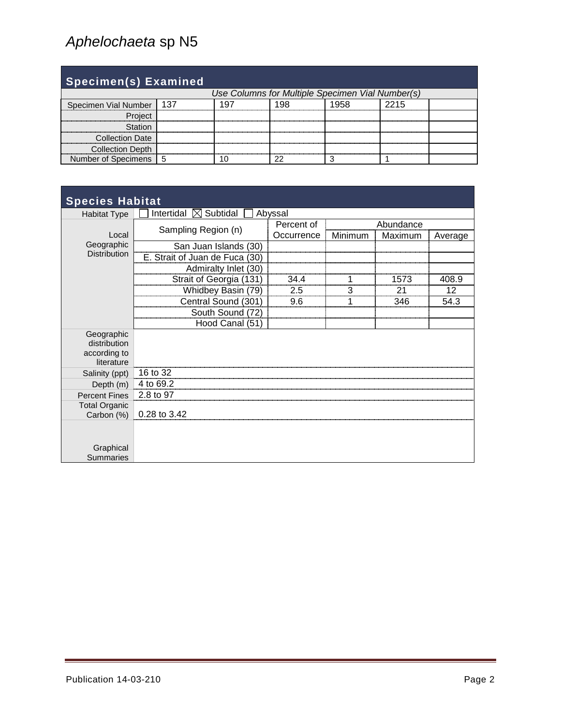| <b>Specimen(s) Examined</b>                      |     |     |      |      |  |
|--------------------------------------------------|-----|-----|------|------|--|
| Use Columns for Multiple Specimen Vial Number(s) |     |     |      |      |  |
| Specimen Vial Number                             | 137 | 197 | 1958 | 2215 |  |
| Project                                          |     |     |      |      |  |
| Station                                          |     |     |      |      |  |
| <b>Collection Date</b>                           |     |     |      |      |  |
| <b>Collection Depth</b>                          |     |     |      |      |  |
| Number of Specimens                              | 5   |     |      |      |  |

| <b>Species Habitat</b>        |                                        |            |           |         |         |
|-------------------------------|----------------------------------------|------------|-----------|---------|---------|
| <b>Habitat Type</b>           | Intertidal<br>Subtidal<br>$\mathbb{X}$ | Abyssal    |           |         |         |
|                               |                                        | Percent of | Abundance |         |         |
| Local                         | Sampling Region (n)                    | Occurrence | Minimum   | Maximum | Average |
| Geographic                    | San Juan Islands (30)                  |            |           |         |         |
| <b>Distribution</b>           | E. Strait of Juan de Fuca (30)         |            |           |         |         |
|                               | Admiralty Inlet (30)                   |            |           |         |         |
|                               | Strait of Georgia (131)                | 34.4       |           | 1573    | 408.9   |
|                               | Whidbey Basin (79)                     | 2.5        | 3         | 21      | 12      |
|                               | Central Sound (301)                    | 9.6        |           | 346     | 54.3    |
|                               | South Sound (72)                       |            |           |         |         |
|                               | Hood Canal (51)                        |            |           |         |         |
| Geographic                    |                                        |            |           |         |         |
| distribution                  |                                        |            |           |         |         |
| according to<br>literature    |                                        |            |           |         |         |
| Salinity (ppt)                | 16 to 32                               |            |           |         |         |
| Depth (m)                     | 4 to 69.2                              |            |           |         |         |
| <b>Percent Fines</b>          | 2.8 to 97                              |            |           |         |         |
| <b>Total Organic</b>          |                                        |            |           |         |         |
| Carbon (%)                    | 0.28 to 3.42                           |            |           |         |         |
|                               |                                        |            |           |         |         |
| Graphical<br><b>Summaries</b> |                                        |            |           |         |         |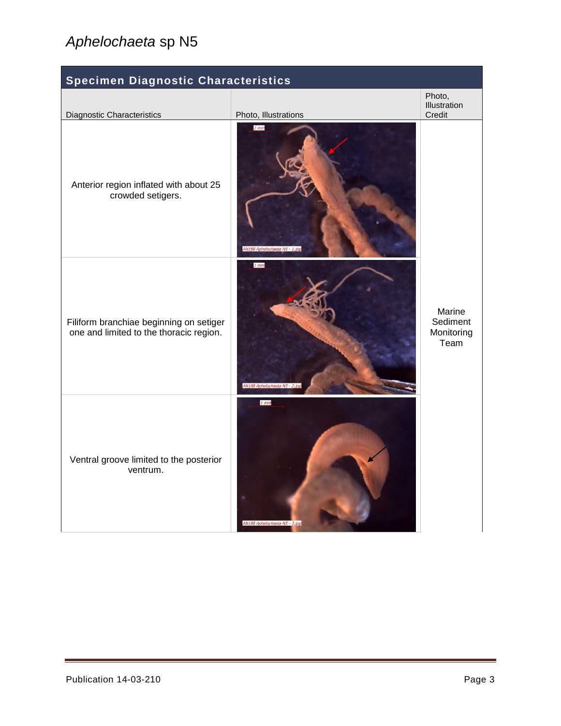| Specimen Diagnostic Characteristics                                                |                                         |                                          |
|------------------------------------------------------------------------------------|-----------------------------------------|------------------------------------------|
| Diagnostic Characteristics                                                         | Photo, Illustrations                    | Photo,<br>Illustration<br>Credit         |
| Anterior region inflated with about 25<br>crowded setigers.                        | $1$ mm<br>AN198 Aphelochaeta N5 - 1.jpc |                                          |
| Filiform branchiae beginning on setiger<br>one and limited to the thoracic region. | $1$ mm<br>AN198 Aphelochaeta N5 - 2.jp  | Marine<br>Sediment<br>Monitoring<br>Team |
| Ventral groove limited to the posterior<br>ventrum.                                | $1$ mm<br>AN198 Aphelochaeta N5 - 3.jpg |                                          |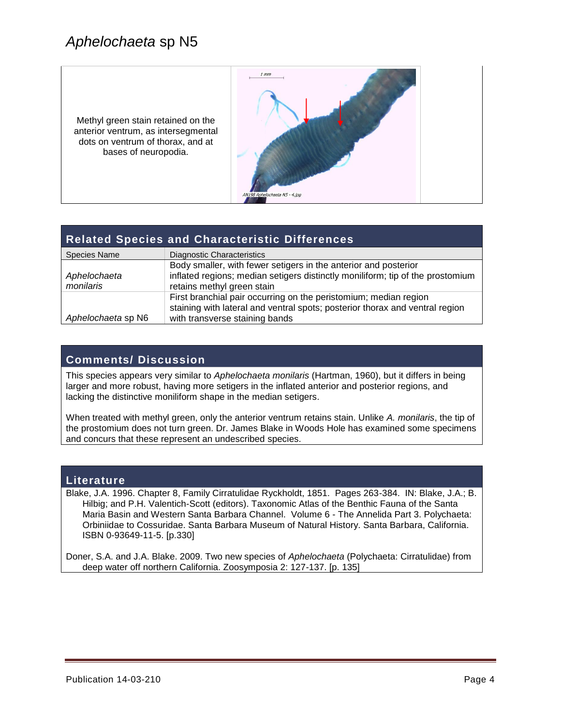Methyl green stain retained on the anterior ventrum, as intersegmental dots on ventrum of thorax, and at bases of neuropodia.



#### **Related Species and Characteristic Differences**

| <b>Species Name</b> | Diagnostic Characteristics                                                     |
|---------------------|--------------------------------------------------------------------------------|
|                     | Body smaller, with fewer setigers in the anterior and posterior                |
| Aphelochaeta        | inflated regions; median setigers distinctly moniliform; tip of the prostomium |
| monilaris           | retains methyl green stain                                                     |
|                     | First branchial pair occurring on the peristomium; median region               |
|                     | staining with lateral and ventral spots; posterior thorax and ventral region   |
| Aphelochaeta sp N6  | with transverse staining bands                                                 |

#### **Comments/ Discussion**

This species appears very similar to *Aphelochaeta monilaris* (Hartman, 1960), but it differs in being larger and more robust, having more setigers in the inflated anterior and posterior regions, and lacking the distinctive moniliform shape in the median setigers.

When treated with methyl green, only the anterior ventrum retains stain. Unlike *A. monilaris*, the tip of the prostomium does not turn green. Dr. James Blake in Woods Hole has examined some specimens and concurs that these represent an undescribed species.

#### **Literature**

Blake, J.A. 1996. Chapter 8, Family Cirratulidae Ryckholdt, 1851. Pages 263-384. IN: Blake, J.A.; B. Hilbig; and P.H. Valentich-Scott (editors). Taxonomic Atlas of the Benthic Fauna of the Santa Maria Basin and Western Santa Barbara Channel. Volume 6 - The Annelida Part 3. Polychaeta: Orbiniidae to Cossuridae. Santa Barbara Museum of Natural History. Santa Barbara, California. ISBN 0-93649-11-5. [p.330]

Doner, S.A. and J.A. Blake. 2009. Two new species of *Aphelochaeta* (Polychaeta: Cirratulidae) from deep water off northern California. Zoosymposia 2: 127-137. [p. 135]